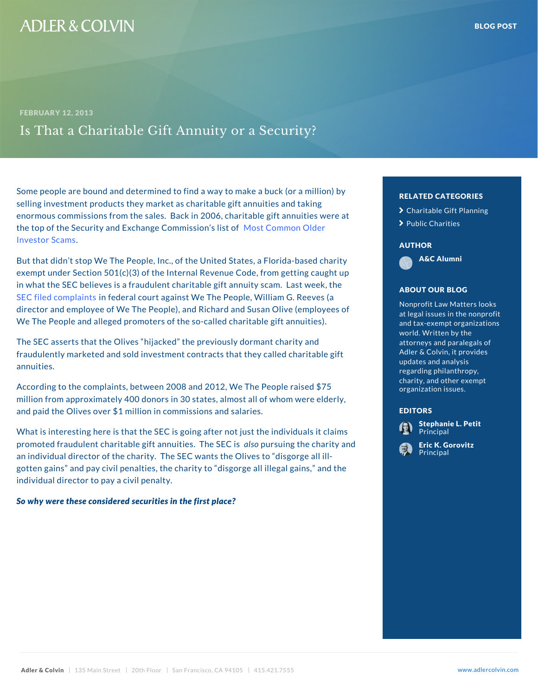Some people are bound and determined to find a way to make a buck a buck (or all in selling investment products they market as charitable gimes and taking and taking enormous commissions from the sales. Back in 2006, charitable of them s v the top of the Security and Exchand Neo Cto Commission Ossidleist [Investor](�� h t t p : / / w w w . s e c . g o v / n e w s / p r e s s / e x t r a / s e n i o r s / e l d e r f r a u d . h t m) Scams .

But that didn t stop We The People, Inc., of the United States, A&C Alumni ed exempt under Section 501(c)(3) of the Internal Revenue Code, from getting caught up to a law in what the SEC believes is a fraudulent charitable gift  $\overline{a}$  and  $\overline{b}$  and  $\overline{b}$  week, the stage  $\overline{b}$ [SEC filed co](�� h t t p : / / w w w . s e c . g o v / l i t i g a t i o n / l i t r e l e a s e s / 2 0 1 3 / l r 2 2 6 0 8 . h t m)miplaed tesral court against We The People, Wi director and employee of We The People), and Richard and Supprofit Law Matters oy We The People and alleged promoters of the so-called  $c$ 

The SEC asserts that the Olives hijacked the previous fraudulently marketed and sold investment contracts that annuities.

According to the complaints, between 2008 and 2012,  $W_{\epsilon}$  organization issues.  $75$ million from approximately 400 donors in 30 states, almost all of whom we related the eld and paid the Olives over \$1 million in commissions and

What is interesting here is that the SEC is going after  $\mathbf r$  **Defined in the individual individual** sites it claims in promoted fraudulent charitable gift ad sopur site is also  $\alpha$  The chact an individual director of the charity. The SEC wants the Chineses to dill gotten gains and pay civil penalties, the charity to discorper all interests all in the set individual director to pay a civil penalty.

So why were these considered securities in the first pla

# RELATED CATEGORIE > [Charitable Gift](�� h t t p s : / / w w w . a d l e r c o l v i n . c o m / b l o g / c a t e g o r y / c h a r i t a b l e - g i f t - p l a n n i n g /) Plan > [Public Ch](�� h t t p s : / / w w w . a d l e r c o l v i n . c o m / b l o g / c a t e g o r y / p u b l i c - c h a r i t i e s /)arities

### AUTHOR

A&C Alumni

# ABOUT OUR BLOG

Nonprofit Law Matters at legal issues in the and tax-exempt organ<sup>es</sup>) world. Written by the attorneys and paraleg<mark>d</mark> Adler & Colvin, it pro updates and analysis regarding philanthrop charity, and other  $ex$ organization issues.

## EDITORS

[Stephanie L](�� h t t p s : / / w w w . a d l e r c o l v i n . c o m / s t e p h a n i e - l - p e t i t /). Petit **Principal** 

[Eric K. Go](�� h t t p s : / / w w w . a d l e r c o l v i n . c o m / e r i c - k - g o r o v i t z /)rovitz **Principal**